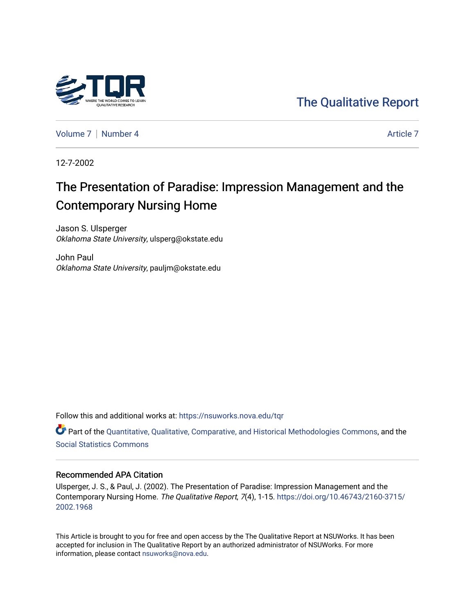

[The Qualitative Report](https://nsuworks.nova.edu/tqr) 

[Volume 7](https://nsuworks.nova.edu/tqr/vol7) | [Number 4](https://nsuworks.nova.edu/tqr/vol7/iss4) Article 7

12-7-2002

# The Presentation of Paradise: Impression Management and the Contemporary Nursing Home

Jason S. Ulsperger Oklahoma State University, ulsperg@okstate.edu

John Paul Oklahoma State University, pauljm@okstate.edu

Follow this and additional works at: [https://nsuworks.nova.edu/tqr](https://nsuworks.nova.edu/tqr?utm_source=nsuworks.nova.edu%2Ftqr%2Fvol7%2Fiss4%2F7&utm_medium=PDF&utm_campaign=PDFCoverPages) 

Part of the [Quantitative, Qualitative, Comparative, and Historical Methodologies Commons,](http://network.bepress.com/hgg/discipline/423?utm_source=nsuworks.nova.edu%2Ftqr%2Fvol7%2Fiss4%2F7&utm_medium=PDF&utm_campaign=PDFCoverPages) and the [Social Statistics Commons](http://network.bepress.com/hgg/discipline/1275?utm_source=nsuworks.nova.edu%2Ftqr%2Fvol7%2Fiss4%2F7&utm_medium=PDF&utm_campaign=PDFCoverPages) 

#### Recommended APA Citation

Ulsperger, J. S., & Paul, J. (2002). The Presentation of Paradise: Impression Management and the Contemporary Nursing Home. The Qualitative Report, 7(4), 1-15. [https://doi.org/10.46743/2160-3715/](https://doi.org/10.46743/2160-3715/2002.1968) [2002.1968](https://doi.org/10.46743/2160-3715/2002.1968) 

This Article is brought to you for free and open access by the The Qualitative Report at NSUWorks. It has been accepted for inclusion in The Qualitative Report by an authorized administrator of NSUWorks. For more information, please contact [nsuworks@nova.edu.](mailto:nsuworks@nova.edu)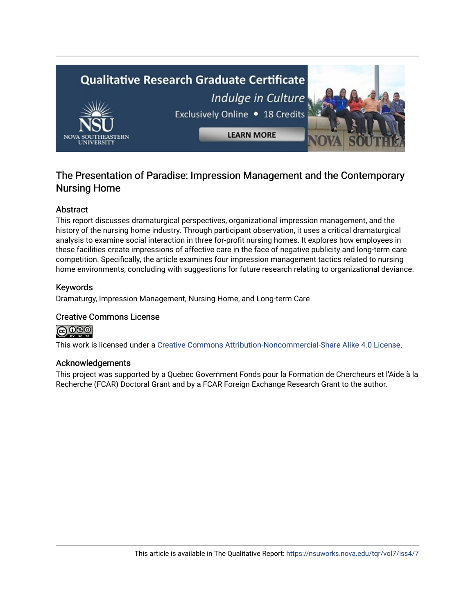

# The Presentation of Paradise: Impression Management and the Contemporary Nursing Home

#### Abstract

This report discusses dramaturgical perspectives, organizational impression management, and the history of the nursing home industry. Through participant observation, it uses a critical dramaturgical analysis to examine social interaction in three for-profit nursing homes. It explores how employees in these facilities create impressions of affective care in the face of negative publicity and long-term care competition. Specifically, the article examines four impression management tactics related to nursing home environments, concluding with suggestions for future research relating to organizational deviance.

#### Keywords

Dramaturgy, Impression Management, Nursing Home, and Long-term Care

#### Creative Commons License

ၜၜၜႜ

This work is licensed under a [Creative Commons Attribution-Noncommercial-Share Alike 4.0 License](https://creativecommons.org/licenses/by-nc-sa/4.0/).

#### Acknowledgements

This project was supported by a Quebec Government Fonds pour la Formation de Chercheurs et l'Aide à la Recherche (FCAR) Doctoral Grant and by a FCAR Foreign Exchange Research Grant to the author.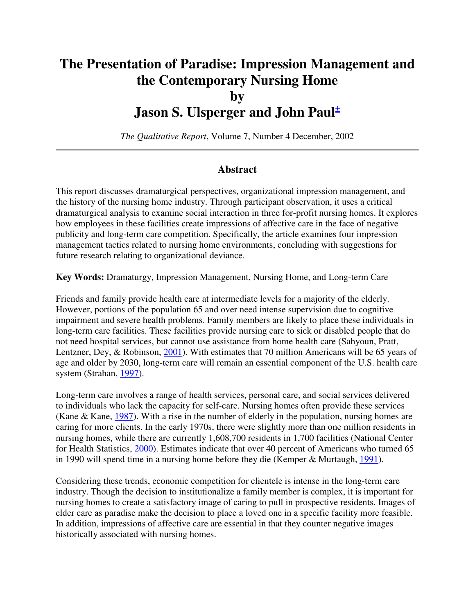# **The Presentation of Paradise: Impression Management and the Contemporary Nursing Home by Jason S. Ulsperger and John Paul<sup>+</sup>**

*The Qualitative Report*, Volume 7, Number 4 December, 2002

### **Abstract**

This report discusses dramaturgical perspectives, organizational impression management, and the history of the nursing home industry. Through participant observation, it uses a critical dramaturgical analysis to examine social interaction in three for-profit nursing homes. It explores how employees in these facilities create impressions of affective care in the face of negative publicity and long-term care competition. Specifically, the article examines four impression management tactics related to nursing home environments, concluding with suggestions for future research relating to organizational deviance.

**Key Words:** Dramaturgy, Impression Management, Nursing Home, and Long-term Care

Friends and family provide health care at intermediate levels for a majority of the elderly. However, portions of the population 65 and over need intense supervision due to cognitive impairment and severe health problems. Family members are likely to place these individuals in long-term care facilities. These facilities provide nursing care to sick or disabled people that do not need hospital services, but cannot use assistance from home health care (Sahyoun, Pratt, Lentzner, Dey, & Robinson, 2001). With estimates that 70 million Americans will be 65 years of age and older by 2030, long-term care will remain an essential component of the U.S. health care system (Strahan, 1997).

Long-term care involves a range of health services, personal care, and social services delivered to individuals who lack the capacity for self-care. Nursing homes often provide these services (Kane & Kane,  $1987$ ). With a rise in the number of elderly in the population, nursing homes are caring for more clients. In the early 1970s, there were slightly more than one million residents in nursing homes, while there are currently 1,608,700 residents in 1,700 facilities (National Center for Health Statistics, 2000). Estimates indicate that over 40 percent of Americans who turned 65 in 1990 will spend time in a nursing home before they die (Kemper & Murtaugh, 1991).

Considering these trends, economic competition for clientele is intense in the long-term care industry. Though the decision to institutionalize a family member is complex, it is important for nursing homes to create a satisfactory image of caring to pull in prospective residents. Images of elder care as paradise make the decision to place a loved one in a specific facility more feasible. In addition, impressions of affective care are essential in that they counter negative images historically associated with nursing homes.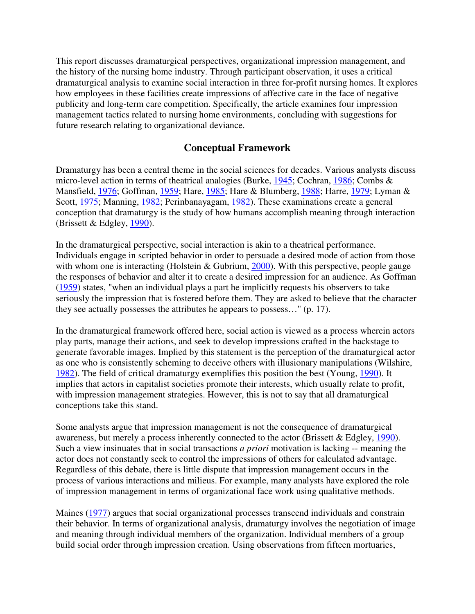This report discusses dramaturgical perspectives, organizational impression management, and the history of the nursing home industry. Through participant observation, it uses a critical dramaturgical analysis to examine social interaction in three for-profit nursing homes. It explores how employees in these facilities create impressions of affective care in the face of negative publicity and long-term care competition. Specifically, the article examines four impression management tactics related to nursing home environments, concluding with suggestions for future research relating to organizational deviance.

### **Conceptual Framework**

Dramaturgy has been a central theme in the social sciences for decades. Various analysts discuss micro-level action in terms of theatrical analogies (Burke, 1945; Cochran, 1986; Combs & Mansfield, 1976; Goffman, 1959; Hare, 1985; Hare & Blumberg, 1988; Harre, 1979; Lyman & Scott, 1975; Manning, 1982; Perinbanayagam, 1982). These examinations create a general conception that dramaturgy is the study of how humans accomplish meaning through interaction (Brissett & Edgley, 1990).

In the dramaturgical perspective, social interaction is akin to a theatrical performance. Individuals engage in scripted behavior in order to persuade a desired mode of action from those with whom one is interacting (Holstein & Gubrium, 2000). With this perspective, people gauge the responses of behavior and alter it to create a desired impression for an audience. As Goffman (1959) states, "when an individual plays a part he implicitly requests his observers to take seriously the impression that is fostered before them. They are asked to believe that the character they see actually possesses the attributes he appears to possess…" (p. 17).

In the dramaturgical framework offered here, social action is viewed as a process wherein actors play parts, manage their actions, and seek to develop impressions crafted in the backstage to generate favorable images. Implied by this statement is the perception of the dramaturgical actor as one who is consistently scheming to deceive others with illusionary manipulations (Wilshire, 1982). The field of critical dramaturgy exemplifies this position the best (Young, 1990). It implies that actors in capitalist societies promote their interests, which usually relate to profit, with impression management strategies. However, this is not to say that all dramaturgical conceptions take this stand.

Some analysts argue that impression management is not the consequence of dramaturgical awareness, but merely a process inherently connected to the actor (Brissett & Edgley, 1990). Such a view insinuates that in social transactions *a priori* motivation is lacking -- meaning the actor does not constantly seek to control the impressions of others for calculated advantage. Regardless of this debate, there is little dispute that impression management occurs in the process of various interactions and milieus. For example, many analysts have explored the role of impression management in terms of organizational face work using qualitative methods.

Maines (1977) argues that social organizational processes transcend individuals and constrain their behavior. In terms of organizational analysis, dramaturgy involves the negotiation of image and meaning through individual members of the organization. Individual members of a group build social order through impression creation. Using observations from fifteen mortuaries,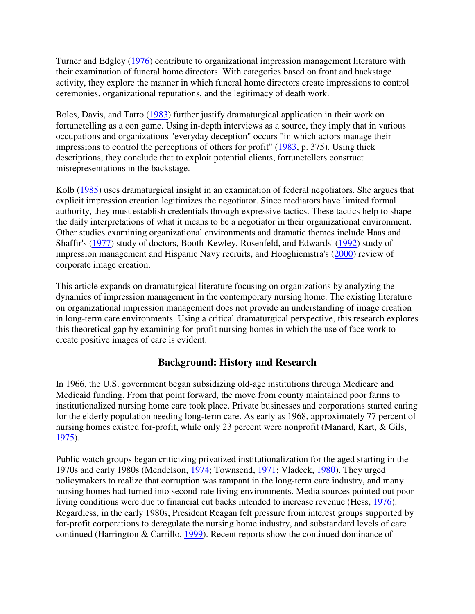Turner and Edgley (1976) contribute to organizational impression management literature with their examination of funeral home directors. With categories based on front and backstage activity, they explore the manner in which funeral home directors create impressions to control ceremonies, organizational reputations, and the legitimacy of death work.

Boles, Davis, and Tatro (1983) further justify dramaturgical application in their work on fortunetelling as a con game. Using in-depth interviews as a source, they imply that in various occupations and organizations "everyday deception" occurs "in which actors manage their impressions to control the perceptions of others for profit" (1983, p. 375). Using thick descriptions, they conclude that to exploit potential clients, fortunetellers construct misrepresentations in the backstage.

Kolb (1985) uses dramaturgical insight in an examination of federal negotiators. She argues that explicit impression creation legitimizes the negotiator. Since mediators have limited formal authority, they must establish credentials through expressive tactics. These tactics help to shape the daily interpretations of what it means to be a negotiator in their organizational environment. Other studies examining organizational environments and dramatic themes include Haas and Shaffir's (1977) study of doctors, Booth-Kewley, Rosenfeld, and Edwards' (1992) study of impression management and Hispanic Navy recruits, and Hooghiemstra's (2000) review of corporate image creation.

This article expands on dramaturgical literature focusing on organizations by analyzing the dynamics of impression management in the contemporary nursing home. The existing literature on organizational impression management does not provide an understanding of image creation in long-term care environments. Using a critical dramaturgical perspective, this research explores this theoretical gap by examining for-profit nursing homes in which the use of face work to create positive images of care is evident.

## **Background: History and Research**

In 1966, the U.S. government began subsidizing old-age institutions through Medicare and Medicaid funding. From that point forward, the move from county maintained poor farms to institutionalized nursing home care took place. Private businesses and corporations started caring for the elderly population needing long-term care. As early as 1968, approximately 77 percent of nursing homes existed for-profit, while only 23 percent were nonprofit (Manard, Kart, & Gils, 1975).

Public watch groups began criticizing privatized institutionalization for the aged starting in the 1970s and early 1980s (Mendelson, 1974; Townsend, 1971; Vladeck, 1980). They urged policymakers to realize that corruption was rampant in the long-term care industry, and many nursing homes had turned into second-rate living environments. Media sources pointed out poor living conditions were due to financial cut backs intended to increase revenue (Hess, 1976). Regardless, in the early 1980s, President Reagan felt pressure from interest groups supported by for-profit corporations to deregulate the nursing home industry, and substandard levels of care continued (Harrington & Carrillo, 1999). Recent reports show the continued dominance of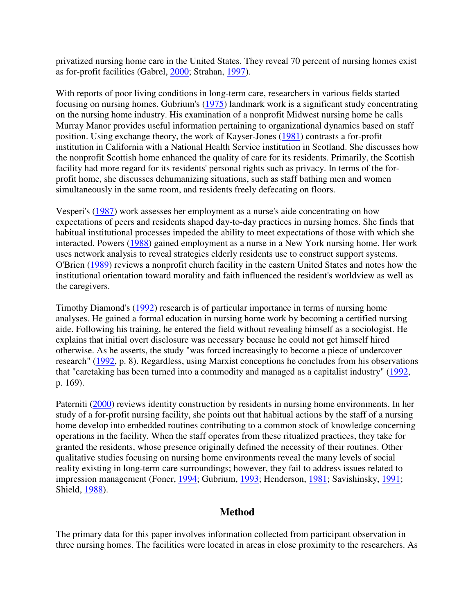privatized nursing home care in the United States. They reveal 70 percent of nursing homes exist as for-profit facilities (Gabrel, 2000; Strahan, 1997).

With reports of poor living conditions in long-term care, researchers in various fields started focusing on nursing homes. Gubrium's (1975) landmark work is a significant study concentrating on the nursing home industry. His examination of a nonprofit Midwest nursing home he calls Murray Manor provides useful information pertaining to organizational dynamics based on staff position. Using exchange theory, the work of Kayser-Jones (1981) contrasts a for-profit institution in California with a National Health Service institution in Scotland. She discusses how the nonprofit Scottish home enhanced the quality of care for its residents. Primarily, the Scottish facility had more regard for its residents' personal rights such as privacy. In terms of the forprofit home, she discusses dehumanizing situations, such as staff bathing men and women simultaneously in the same room, and residents freely defecating on floors.

Vesperi's (1987) work assesses her employment as a nurse's aide concentrating on how expectations of peers and residents shaped day-to-day practices in nursing homes. She finds that habitual institutional processes impeded the ability to meet expectations of those with which she interacted. Powers (1988) gained employment as a nurse in a New York nursing home. Her work uses network analysis to reveal strategies elderly residents use to construct support systems. O'Brien (1989) reviews a nonprofit church facility in the eastern United States and notes how the institutional orientation toward morality and faith influenced the resident's worldview as well as the caregivers.

Timothy Diamond's (1992) research is of particular importance in terms of nursing home analyses. He gained a formal education in nursing home work by becoming a certified nursing aide. Following his training, he entered the field without revealing himself as a sociologist. He explains that initial overt disclosure was necessary because he could not get himself hired otherwise. As he asserts, the study "was forced increasingly to become a piece of undercover research" (1992, p. 8). Regardless, using Marxist conceptions he concludes from his observations that "caretaking has been turned into a commodity and managed as a capitalist industry" (1992, p. 169).

Paterniti (2000) reviews identity construction by residents in nursing home environments. In her study of a for-profit nursing facility, she points out that habitual actions by the staff of a nursing home develop into embedded routines contributing to a common stock of knowledge concerning operations in the facility. When the staff operates from these ritualized practices, they take for granted the residents, whose presence originally defined the necessity of their routines. Other qualitative studies focusing on nursing home environments reveal the many levels of social reality existing in long-term care surroundings; however, they fail to address issues related to impression management (Foner, 1994; Gubrium, 1993; Henderson, 1981; Savishinsky, 1991; Shield, 1988).

### **Method**

The primary data for this paper involves information collected from participant observation in three nursing homes. The facilities were located in areas in close proximity to the researchers. As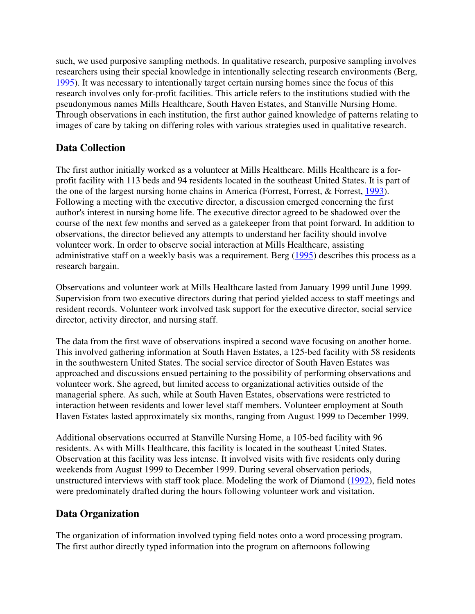such, we used purposive sampling methods. In qualitative research, purposive sampling involves researchers using their special knowledge in intentionally selecting research environments (Berg, 1995). It was necessary to intentionally target certain nursing homes since the focus of this research involves only for-profit facilities. This article refers to the institutions studied with the pseudonymous names Mills Healthcare, South Haven Estates, and Stanville Nursing Home. Through observations in each institution, the first author gained knowledge of patterns relating to images of care by taking on differing roles with various strategies used in qualitative research.

# **Data Collection**

The first author initially worked as a volunteer at Mills Healthcare. Mills Healthcare is a forprofit facility with 113 beds and 94 residents located in the southeast United States. It is part of the one of the largest nursing home chains in America (Forrest, Forrest, & Forrest, 1993). Following a meeting with the executive director, a discussion emerged concerning the first author's interest in nursing home life. The executive director agreed to be shadowed over the course of the next few months and served as a gatekeeper from that point forward. In addition to observations, the director believed any attempts to understand her facility should involve volunteer work. In order to observe social interaction at Mills Healthcare, assisting administrative staff on a weekly basis was a requirement. Berg (1995) describes this process as a research bargain.

Observations and volunteer work at Mills Healthcare lasted from January 1999 until June 1999. Supervision from two executive directors during that period yielded access to staff meetings and resident records. Volunteer work involved task support for the executive director, social service director, activity director, and nursing staff.

The data from the first wave of observations inspired a second wave focusing on another home. This involved gathering information at South Haven Estates, a 125-bed facility with 58 residents in the southwestern United States. The social service director of South Haven Estates was approached and discussions ensued pertaining to the possibility of performing observations and volunteer work. She agreed, but limited access to organizational activities outside of the managerial sphere. As such, while at South Haven Estates, observations were restricted to interaction between residents and lower level staff members. Volunteer employment at South Haven Estates lasted approximately six months, ranging from August 1999 to December 1999.

Additional observations occurred at Stanville Nursing Home, a 105-bed facility with 96 residents. As with Mills Healthcare, this facility is located in the southeast United States. Observation at this facility was less intense. It involved visits with five residents only during weekends from August 1999 to December 1999. During several observation periods, unstructured interviews with staff took place. Modeling the work of Diamond (1992), field notes were predominately drafted during the hours following volunteer work and visitation.

# **Data Organization**

The organization of information involved typing field notes onto a word processing program. The first author directly typed information into the program on afternoons following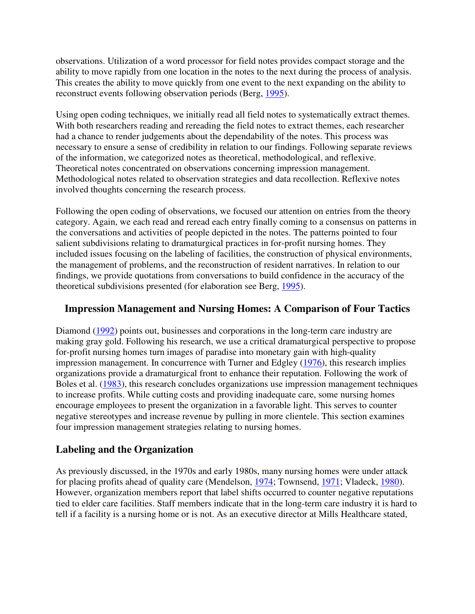observations. Utilization of a word processor for field notes provides compact storage and the ability to move rapidly from one location in the notes to the next during the process of analysis. This creates the ability to move quickly from one event to the next expanding on the ability to reconstruct events following observation periods (Berg, 1995).

Using open coding techniques, we initially read all field notes to systematically extract themes. With both researchers reading and rereading the field notes to extract themes, each researcher had a chance to render judgements about the dependability of the notes. This process was necessary to ensure a sense of credibility in relation to our findings. Following separate reviews of the information, we categorized notes as theoretical, methodological, and reflexive. Theoretical notes concentrated on observations concerning impression management. Methodological notes related to observation strategies and data recollection. Reflexive notes involved thoughts concerning the research process.

Following the open coding of observations, we focused our attention on entries from the theory category. Again, we each read and reread each entry finally coming to a consensus on patterns in the conversations and activities of people depicted in the notes. The patterns pointed to four salient subdivisions relating to dramaturgical practices in for-profit nursing homes. They included issues focusing on the labeling of facilities, the construction of physical environments, the management of problems, and the reconstruction of resident narratives. In relation to our findings, we provide quotations from conversations to build confidence in the accuracy of the theoretical subdivisions presented (for elaboration see Berg, 1995).

## **Impression Management and Nursing Homes: A Comparison of Four Tactics**

Diamond (1992) points out, businesses and corporations in the long-term care industry are making gray gold. Following his research, we use a critical dramaturgical perspective to propose for-profit nursing homes turn images of paradise into monetary gain with high-quality impression management. In concurrence with Turner and Edgley (1976), this research implies organizations provide a dramaturgical front to enhance their reputation. Following the work of Boles et al. (1983), this research concludes organizations use impression management techniques to increase profits. While cutting costs and providing inadequate care, some nursing homes encourage employees to present the organization in a favorable light. This serves to counter negative stereotypes and increase revenue by pulling in more clientele. This section examines four impression management strategies relating to nursing homes.

# **Labeling and the Organization**

As previously discussed, in the 1970s and early 1980s, many nursing homes were under attack for placing profits ahead of quality care (Mendelson, 1974; Townsend, 1971; Vladeck, 1980). However, organization members report that label shifts occurred to counter negative reputations tied to elder care facilities. Staff members indicate that in the long-term care industry it is hard to tell if a facility is a nursing home or is not. As an executive director at Mills Healthcare stated,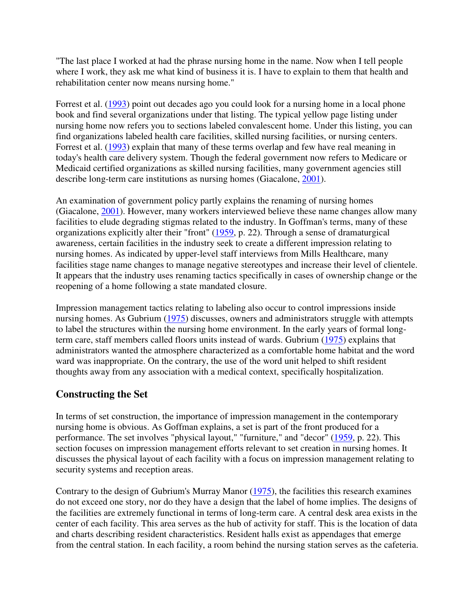"The last place I worked at had the phrase nursing home in the name. Now when I tell people where I work, they ask me what kind of business it is. I have to explain to them that health and rehabilitation center now means nursing home."

Forrest et al. (1993) point out decades ago you could look for a nursing home in a local phone book and find several organizations under that listing. The typical yellow page listing under nursing home now refers you to sections labeled convalescent home. Under this listing, you can find organizations labeled health care facilities, skilled nursing facilities, or nursing centers. Forrest et al. (1993) explain that many of these terms overlap and few have real meaning in today's health care delivery system. Though the federal government now refers to Medicare or Medicaid certified organizations as skilled nursing facilities, many government agencies still describe long-term care institutions as nursing homes (Giacalone, 2001).

An examination of government policy partly explains the renaming of nursing homes (Giacalone, 2001). However, many workers interviewed believe these name changes allow many facilities to elude degrading stigmas related to the industry. In Goffman's terms, many of these organizations explicitly alter their "front" (1959, p. 22). Through a sense of dramaturgical awareness, certain facilities in the industry seek to create a different impression relating to nursing homes. As indicated by upper-level staff interviews from Mills Healthcare, many facilities stage name changes to manage negative stereotypes and increase their level of clientele. It appears that the industry uses renaming tactics specifically in cases of ownership change or the reopening of a home following a state mandated closure.

Impression management tactics relating to labeling also occur to control impressions inside nursing homes. As Gubrium (1975) discusses, owners and administrators struggle with attempts to label the structures within the nursing home environment. In the early years of formal longterm care, staff members called floors units instead of wards. Gubrium (1975) explains that administrators wanted the atmosphere characterized as a comfortable home habitat and the word ward was inappropriate. On the contrary, the use of the word unit helped to shift resident thoughts away from any association with a medical context, specifically hospitalization.

# **Constructing the Set**

In terms of set construction, the importance of impression management in the contemporary nursing home is obvious. As Goffman explains, a set is part of the front produced for a performance. The set involves "physical layout," "furniture," and "decor" (1959, p. 22). This section focuses on impression management efforts relevant to set creation in nursing homes. It discusses the physical layout of each facility with a focus on impression management relating to security systems and reception areas.

Contrary to the design of Gubrium's Murray Manor (1975), the facilities this research examines do not exceed one story, nor do they have a design that the label of home implies. The designs of the facilities are extremely functional in terms of long-term care. A central desk area exists in the center of each facility. This area serves as the hub of activity for staff. This is the location of data and charts describing resident characteristics. Resident halls exist as appendages that emerge from the central station. In each facility, a room behind the nursing station serves as the cafeteria.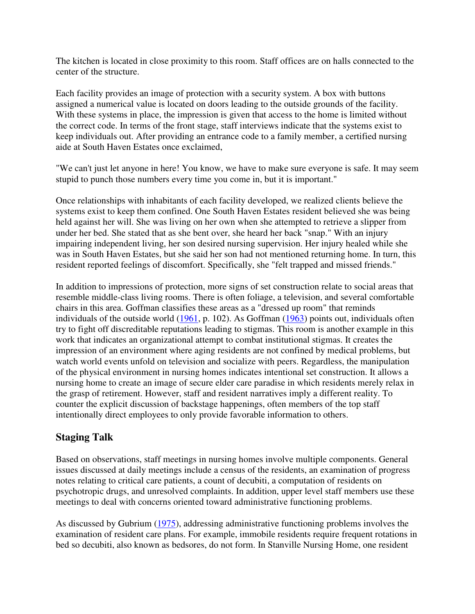The kitchen is located in close proximity to this room. Staff offices are on halls connected to the center of the structure.

Each facility provides an image of protection with a security system. A box with buttons assigned a numerical value is located on doors leading to the outside grounds of the facility. With these systems in place, the impression is given that access to the home is limited without the correct code. In terms of the front stage, staff interviews indicate that the systems exist to keep individuals out. After providing an entrance code to a family member, a certified nursing aide at South Haven Estates once exclaimed,

"We can't just let anyone in here! You know, we have to make sure everyone is safe. It may seem stupid to punch those numbers every time you come in, but it is important."

Once relationships with inhabitants of each facility developed, we realized clients believe the systems exist to keep them confined. One South Haven Estates resident believed she was being held against her will. She was living on her own when she attempted to retrieve a slipper from under her bed. She stated that as she bent over, she heard her back "snap." With an injury impairing independent living, her son desired nursing supervision. Her injury healed while she was in South Haven Estates, but she said her son had not mentioned returning home. In turn, this resident reported feelings of discomfort. Specifically, she "felt trapped and missed friends."

In addition to impressions of protection, more signs of set construction relate to social areas that resemble middle-class living rooms. There is often foliage, a television, and several comfortable chairs in this area. Goffman classifies these areas as a "dressed up room" that reminds individuals of the outside world (1961, p. 102). As Goffman (1963) points out, individuals often try to fight off discreditable reputations leading to stigmas. This room is another example in this work that indicates an organizational attempt to combat institutional stigmas. It creates the impression of an environment where aging residents are not confined by medical problems, but watch world events unfold on television and socialize with peers. Regardless, the manipulation of the physical environment in nursing homes indicates intentional set construction. It allows a nursing home to create an image of secure elder care paradise in which residents merely relax in the grasp of retirement. However, staff and resident narratives imply a different reality. To counter the explicit discussion of backstage happenings, often members of the top staff intentionally direct employees to only provide favorable information to others.

# **Staging Talk**

Based on observations, staff meetings in nursing homes involve multiple components. General issues discussed at daily meetings include a census of the residents, an examination of progress notes relating to critical care patients, a count of decubiti, a computation of residents on psychotropic drugs, and unresolved complaints. In addition, upper level staff members use these meetings to deal with concerns oriented toward administrative functioning problems.

As discussed by Gubrium (1975), addressing administrative functioning problems involves the examination of resident care plans. For example, immobile residents require frequent rotations in bed so decubiti, also known as bedsores, do not form. In Stanville Nursing Home, one resident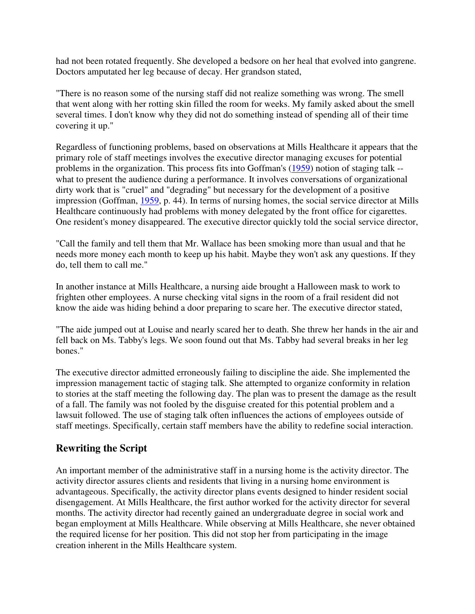had not been rotated frequently. She developed a bedsore on her heal that evolved into gangrene. Doctors amputated her leg because of decay. Her grandson stated,

"There is no reason some of the nursing staff did not realize something was wrong. The smell that went along with her rotting skin filled the room for weeks. My family asked about the smell several times. I don't know why they did not do something instead of spending all of their time covering it up."

Regardless of functioning problems, based on observations at Mills Healthcare it appears that the primary role of staff meetings involves the executive director managing excuses for potential problems in the organization. This process fits into Goffman's (1959) notion of staging talk - what to present the audience during a performance. It involves conversations of organizational dirty work that is "cruel" and "degrading" but necessary for the development of a positive impression (Goffman, 1959, p. 44). In terms of nursing homes, the social service director at Mills Healthcare continuously had problems with money delegated by the front office for cigarettes. One resident's money disappeared. The executive director quickly told the social service director,

"Call the family and tell them that Mr. Wallace has been smoking more than usual and that he needs more money each month to keep up his habit. Maybe they won't ask any questions. If they do, tell them to call me."

In another instance at Mills Healthcare, a nursing aide brought a Halloween mask to work to frighten other employees. A nurse checking vital signs in the room of a frail resident did not know the aide was hiding behind a door preparing to scare her. The executive director stated,

"The aide jumped out at Louise and nearly scared her to death. She threw her hands in the air and fell back on Ms. Tabby's legs. We soon found out that Ms. Tabby had several breaks in her leg bones."

The executive director admitted erroneously failing to discipline the aide. She implemented the impression management tactic of staging talk. She attempted to organize conformity in relation to stories at the staff meeting the following day. The plan was to present the damage as the result of a fall. The family was not fooled by the disguise created for this potential problem and a lawsuit followed. The use of staging talk often influences the actions of employees outside of staff meetings. Specifically, certain staff members have the ability to redefine social interaction.

## **Rewriting the Script**

An important member of the administrative staff in a nursing home is the activity director. The activity director assures clients and residents that living in a nursing home environment is advantageous. Specifically, the activity director plans events designed to hinder resident social disengagement. At Mills Healthcare, the first author worked for the activity director for several months. The activity director had recently gained an undergraduate degree in social work and began employment at Mills Healthcare. While observing at Mills Healthcare, she never obtained the required license for her position. This did not stop her from participating in the image creation inherent in the Mills Healthcare system.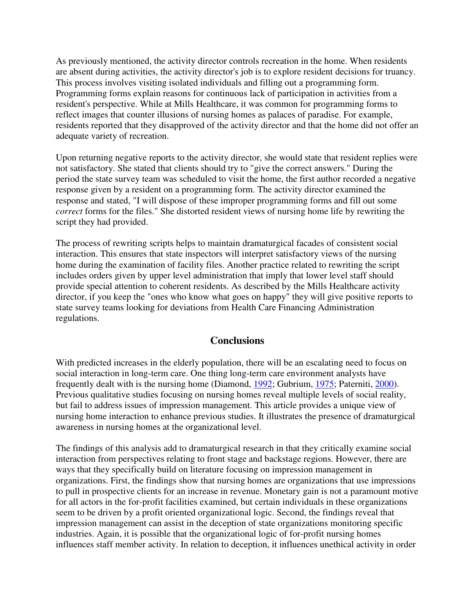As previously mentioned, the activity director controls recreation in the home. When residents are absent during activities, the activity director's job is to explore resident decisions for truancy. This process involves visiting isolated individuals and filling out a programming form. Programming forms explain reasons for continuous lack of participation in activities from a resident's perspective. While at Mills Healthcare, it was common for programming forms to reflect images that counter illusions of nursing homes as palaces of paradise. For example, residents reported that they disapproved of the activity director and that the home did not offer an adequate variety of recreation.

Upon returning negative reports to the activity director, she would state that resident replies were not satisfactory. She stated that clients should try to "give the correct answers." During the period the state survey team was scheduled to visit the home, the first author recorded a negative response given by a resident on a programming form. The activity director examined the response and stated, "I will dispose of these improper programming forms and fill out some *correct* forms for the files." She distorted resident views of nursing home life by rewriting the script they had provided.

The process of rewriting scripts helps to maintain dramaturgical facades of consistent social interaction. This ensures that state inspectors will interpret satisfactory views of the nursing home during the examination of facility files. Another practice related to rewriting the script includes orders given by upper level administration that imply that lower level staff should provide special attention to coherent residents. As described by the Mills Healthcare activity director, if you keep the "ones who know what goes on happy" they will give positive reports to state survey teams looking for deviations from Health Care Financing Administration regulations.

### **Conclusions**

With predicted increases in the elderly population, there will be an escalating need to focus on social interaction in long-term care. One thing long-term care environment analysts have frequently dealt with is the nursing home (Diamond, 1992; Gubrium, 1975; Paterniti, 2000). Previous qualitative studies focusing on nursing homes reveal multiple levels of social reality, but fail to address issues of impression management. This article provides a unique view of nursing home interaction to enhance previous studies. It illustrates the presence of dramaturgical awareness in nursing homes at the organizational level.

The findings of this analysis add to dramaturgical research in that they critically examine social interaction from perspectives relating to front stage and backstage regions. However, there are ways that they specifically build on literature focusing on impression management in organizations. First, the findings show that nursing homes are organizations that use impressions to pull in prospective clients for an increase in revenue. Monetary gain is not a paramount motive for all actors in the for-profit facilities examined, but certain individuals in these organizations seem to be driven by a profit oriented organizational logic. Second, the findings reveal that impression management can assist in the deception of state organizations monitoring specific industries. Again, it is possible that the organizational logic of for-profit nursing homes influences staff member activity. In relation to deception, it influences unethical activity in order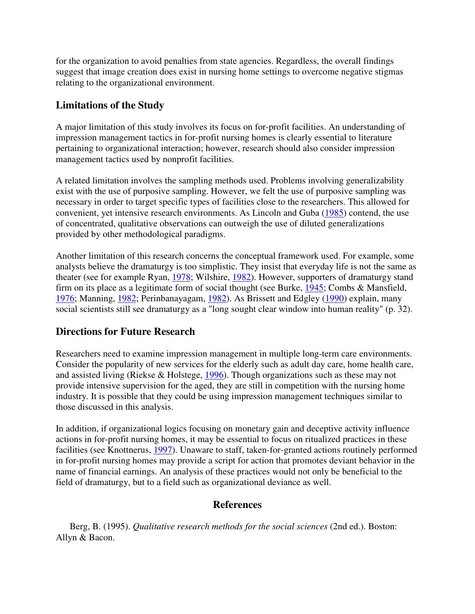for the organization to avoid penalties from state agencies. Regardless, the overall findings suggest that image creation does exist in nursing home settings to overcome negative stigmas relating to the organizational environment.

## **Limitations of the Study**

A major limitation of this study involves its focus on for-profit facilities. An understanding of impression management tactics in for-profit nursing homes is clearly essential to literature pertaining to organizational interaction; however, research should also consider impression management tactics used by nonprofit facilities.

A related limitation involves the sampling methods used. Problems involving generalizability exist with the use of purposive sampling. However, we felt the use of purposive sampling was necessary in order to target specific types of facilities close to the researchers. This allowed for convenient, yet intensive research environments. As Lincoln and Guba (1985) contend, the use of concentrated, qualitative observations can outweigh the use of diluted generalizations provided by other methodological paradigms.

Another limitation of this research concerns the conceptual framework used. For example, some analysts believe the dramaturgy is too simplistic. They insist that everyday life is not the same as theater (see for example Ryan, 1978; Wilshire, 1982). However, supporters of dramaturgy stand firm on its place as a legitimate form of social thought (see Burke, 1945; Combs & Mansfield, 1976; Manning, 1982; Perinbanayagam, 1982). As Brissett and Edgley (1990) explain, many social scientists still see dramaturgy as a "long sought clear window into human reality" (p. 32).

# **Directions for Future Research**

Researchers need to examine impression management in multiple long-term care environments. Consider the popularity of new services for the elderly such as adult day care, home health care, and assisted living (Riekse & Holstege, 1996). Though organizations such as these may not provide intensive supervision for the aged, they are still in competition with the nursing home industry. It is possible that they could be using impression management techniques similar to those discussed in this analysis.

In addition, if organizational logics focusing on monetary gain and deceptive activity influence actions in for-profit nursing homes, it may be essential to focus on ritualized practices in these facilities (see Knottnerus, 1997). Unaware to staff, taken-for-granted actions routinely performed in for-profit nursing homes may provide a script for action that promotes deviant behavior in the name of financial earnings. An analysis of these practices would not only be beneficial to the field of dramaturgy, but to a field such as organizational deviance as well.

## **References**

 Berg, B. (1995). *Qualitative research methods for the social sciences* (2nd ed.). Boston: Allyn & Bacon.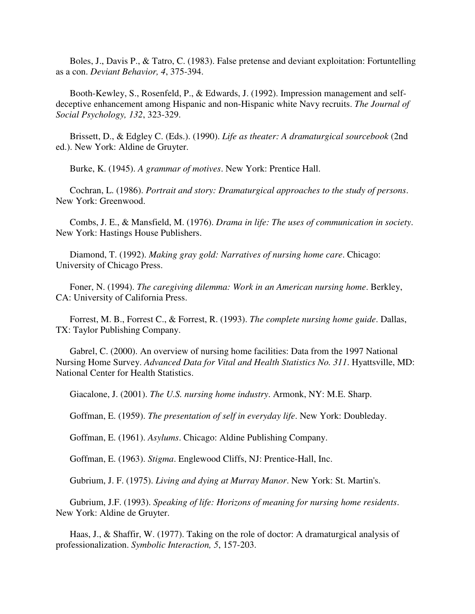Boles, J., Davis P., & Tatro, C. (1983). False pretense and deviant exploitation: Fortuntelling as a con. *Deviant Behavior, 4*, 375-394.

 Booth-Kewley, S., Rosenfeld, P., & Edwards, J. (1992). Impression management and selfdeceptive enhancement among Hispanic and non-Hispanic white Navy recruits. *The Journal of Social Psychology, 132*, 323-329.

 Brissett, D., & Edgley C. (Eds.). (1990). *Life as theater: A dramaturgical sourcebook* (2nd ed.). New York: Aldine de Gruyter.

Burke, K. (1945). *A grammar of motives*. New York: Prentice Hall.

 Cochran, L. (1986). *Portrait and story: Dramaturgical approaches to the study of persons*. New York: Greenwood.

 Combs, J. E., & Mansfield, M. (1976). *Drama in life: The uses of communication in society*. New York: Hastings House Publishers.

 Diamond, T. (1992). *Making gray gold: Narratives of nursing home care*. Chicago: University of Chicago Press.

 Foner, N. (1994). *The caregiving dilemma: Work in an American nursing home*. Berkley, CA: University of California Press.

 Forrest, M. B., Forrest C., & Forrest, R. (1993). *The complete nursing home guide*. Dallas, TX: Taylor Publishing Company.

 Gabrel, C. (2000). An overview of nursing home facilities: Data from the 1997 National Nursing Home Survey. *Advanced Data for Vital and Health Statistics No. 311*. Hyattsville, MD: National Center for Health Statistics.

Giacalone, J. (2001). *The U.S. nursing home industry*. Armonk, NY: M.E. Sharp.

Goffman, E. (1959). *The presentation of self in everyday life*. New York: Doubleday.

Goffman, E. (1961). *Asylums*. Chicago: Aldine Publishing Company.

Goffman, E. (1963). *Stigma*. Englewood Cliffs, NJ: Prentice-Hall, Inc.

Gubrium, J. F. (1975). *Living and dying at Murray Manor*. New York: St. Martin's.

 Gubrium, J.F. (1993). *Speaking of life: Horizons of meaning for nursing home residents*. New York: Aldine de Gruyter.

 Haas, J., & Shaffir, W. (1977). Taking on the role of doctor: A dramaturgical analysis of professionalization. *Symbolic Interaction, 5*, 157-203.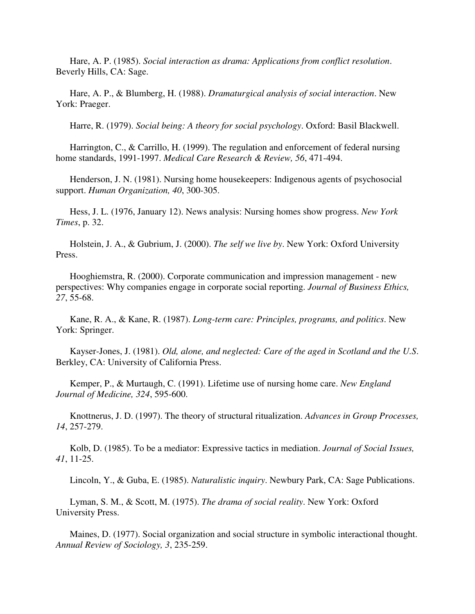Hare, A. P. (1985). *Social interaction as drama: Applications from conflict resolution*. Beverly Hills, CA: Sage.

 Hare, A. P., & Blumberg, H. (1988). *Dramaturgical analysis of social interaction*. New York: Praeger.

Harre, R. (1979). *Social being: A theory for social psychology*. Oxford: Basil Blackwell.

 Harrington, C., & Carrillo, H. (1999). The regulation and enforcement of federal nursing home standards, 1991-1997. *Medical Care Research & Review, 56*, 471-494.

 Henderson, J. N. (1981). Nursing home housekeepers: Indigenous agents of psychosocial support. *Human Organization, 40*, 300-305.

 Hess, J. L. (1976, January 12). News analysis: Nursing homes show progress. *New York Times*, p. 32.

 Holstein, J. A., & Gubrium, J. (2000). *The self we live by*. New York: Oxford University Press.

 Hooghiemstra, R. (2000). Corporate communication and impression management - new perspectives: Why companies engage in corporate social reporting. *Journal of Business Ethics, 27*, 55-68.

 Kane, R. A., & Kane, R. (1987). *Long-term care: Principles, programs, and politics*. New York: Springer.

 Kayser-Jones, J. (1981). *Old, alone, and neglected: Care of the aged in Scotland and the U.S*. Berkley, CA: University of California Press.

 Kemper, P., & Murtaugh, C. (1991). Lifetime use of nursing home care. *New England Journal of Medicine, 324*, 595-600.

 Knottnerus, J. D. (1997). The theory of structural ritualization. *Advances in Group Processes, 14*, 257-279.

 Kolb, D. (1985). To be a mediator: Expressive tactics in mediation. *Journal of Social Issues, 41*, 11-25.

Lincoln, Y., & Guba, E. (1985). *Naturalistic inquiry*. Newbury Park, CA: Sage Publications.

 Lyman, S. M., & Scott, M. (1975). *The drama of social reality*. New York: Oxford University Press.

 Maines, D. (1977). Social organization and social structure in symbolic interactional thought. *Annual Review of Sociology, 3*, 235-259.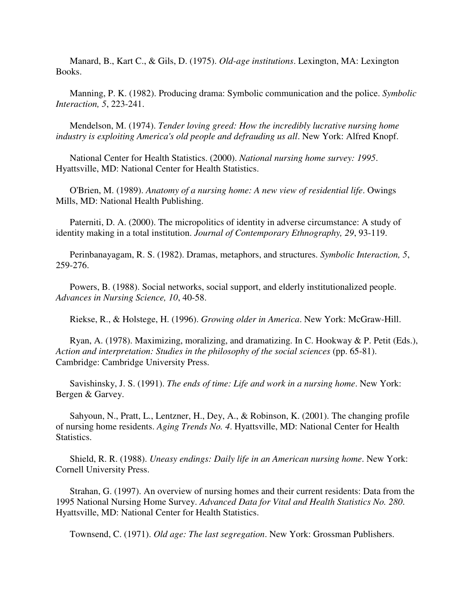Manard, B., Kart C., & Gils, D. (1975). *Old-age institutions*. Lexington, MA: Lexington Books.

 Manning, P. K. (1982). Producing drama: Symbolic communication and the police. *Symbolic Interaction, 5*, 223-241.

 Mendelson, M. (1974). *Tender loving greed: How the incredibly lucrative nursing home industry is exploiting America's old people and defrauding us all*. New York: Alfred Knopf.

 National Center for Health Statistics. (2000). *National nursing home survey: 1995*. Hyattsville, MD: National Center for Health Statistics.

 O'Brien, M. (1989). *Anatomy of a nursing home: A new view of residential life*. Owings Mills, MD: National Health Publishing.

 Paterniti, D. A. (2000). The micropolitics of identity in adverse circumstance: A study of identity making in a total institution. *Journal of Contemporary Ethnography, 29*, 93-119.

 Perinbanayagam, R. S. (1982). Dramas, metaphors, and structures. *Symbolic Interaction, 5*, 259-276.

 Powers, B. (1988). Social networks, social support, and elderly institutionalized people. *Advances in Nursing Science, 10*, 40-58.

Riekse, R., & Holstege, H. (1996). *Growing older in America*. New York: McGraw-Hill.

 Ryan, A. (1978). Maximizing, moralizing, and dramatizing. In C. Hookway & P. Petit (Eds.), *Action and interpretation: Studies in the philosophy of the social sciences* (pp. 65-81). Cambridge: Cambridge University Press.

 Savishinsky, J. S. (1991). *The ends of time: Life and work in a nursing home*. New York: Bergen & Garvey.

 Sahyoun, N., Pratt, L., Lentzner, H., Dey, A., & Robinson, K. (2001). The changing profile of nursing home residents. *Aging Trends No. 4*. Hyattsville, MD: National Center for Health Statistics.

 Shield, R. R. (1988). *Uneasy endings: Daily life in an American nursing home*. New York: Cornell University Press.

 Strahan, G. (1997). An overview of nursing homes and their current residents: Data from the 1995 National Nursing Home Survey. *Advanced Data for Vital and Health Statistics No. 280*. Hyattsville, MD: National Center for Health Statistics.

Townsend, C. (1971). *Old age: The last segregation*. New York: Grossman Publishers.